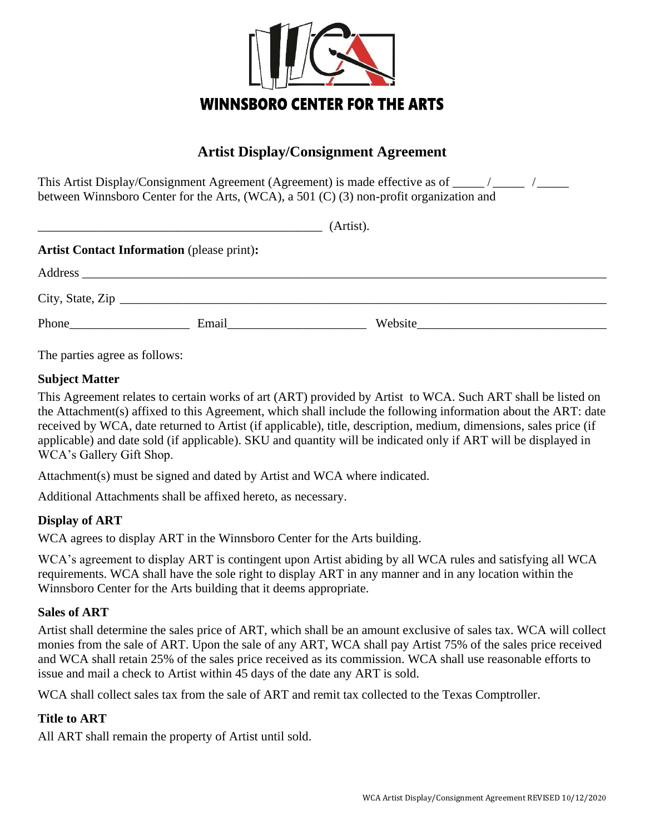

# **Artist Display/Consignment Agreement**

This Artist Display/Consignment Agreement (Agreement) is made effective as of \_\_\_\_\_ / \_\_\_\_\_ / between Winnsboro Center for the Arts, (WCA), a 501 (C) (3) non-profit organization and

| <u> 1989 - Andrea Stadt Britain, amerikansk politiker (</u> |  | (Artist). |         |  |
|-------------------------------------------------------------|--|-----------|---------|--|
| <b>Artist Contact Information (please print):</b>           |  |           |         |  |
|                                                             |  |           |         |  |
| City, State, Zip                                            |  |           |         |  |
|                                                             |  |           | Website |  |

The parties agree as follows:

# **Subject Matter**

This Agreement relates to certain works of art (ART) provided by Artist to WCA. Such ART shall be listed on the Attachment(s) affixed to this Agreement, which shall include the following information about the ART: date received by WCA, date returned to Artist (if applicable), title, description, medium, dimensions, sales price (if applicable) and date sold (if applicable). SKU and quantity will be indicated only if ART will be displayed in WCA's Gallery Gift Shop.

Attachment(s) must be signed and dated by Artist and WCA where indicated.

Additional Attachments shall be affixed hereto, as necessary.

# **Display of ART**

WCA agrees to display ART in the Winnsboro Center for the Arts building.

WCA's agreement to display ART is contingent upon Artist abiding by all WCA rules and satisfying all WCA requirements. WCA shall have the sole right to display ART in any manner and in any location within the Winnsboro Center for the Arts building that it deems appropriate.

## **Sales of ART**

Artist shall determine the sales price of ART, which shall be an amount exclusive of sales tax. WCA will collect monies from the sale of ART. Upon the sale of any ART, WCA shall pay Artist 75% of the sales price received and WCA shall retain 25% of the sales price received as its commission. WCA shall use reasonable efforts to issue and mail a check to Artist within 45 days of the date any ART is sold.

WCA shall collect sales tax from the sale of ART and remit tax collected to the Texas Comptroller.

# **Title to ART**

All ART shall remain the property of Artist until sold.